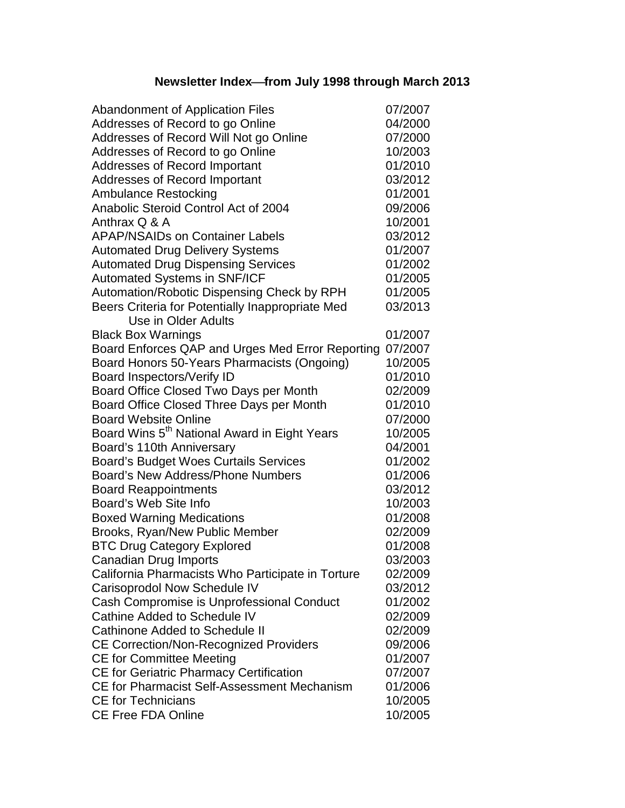## **Newsletter Indexfrom July 1998 through March 2013**

| <b>Abandonment of Application Files</b>                  | 07/2007 |
|----------------------------------------------------------|---------|
| Addresses of Record to go Online                         | 04/2000 |
| Addresses of Record Will Not go Online                   | 07/2000 |
| Addresses of Record to go Online                         | 10/2003 |
| <b>Addresses of Record Important</b>                     | 01/2010 |
| <b>Addresses of Record Important</b>                     | 03/2012 |
| <b>Ambulance Restocking</b>                              | 01/2001 |
| Anabolic Steroid Control Act of 2004                     | 09/2006 |
| Anthrax Q & A                                            | 10/2001 |
| <b>APAP/NSAIDs on Container Labels</b>                   | 03/2012 |
| <b>Automated Drug Delivery Systems</b>                   | 01/2007 |
| <b>Automated Drug Dispensing Services</b>                | 01/2002 |
| <b>Automated Systems in SNF/ICF</b>                      | 01/2005 |
| Automation/Robotic Dispensing Check by RPH               | 01/2005 |
| Beers Criteria for Potentially Inappropriate Med         | 03/2013 |
| Use in Older Adults                                      |         |
| <b>Black Box Warnings</b>                                | 01/2007 |
| Board Enforces QAP and Urges Med Error Reporting         | 07/2007 |
| Board Honors 50-Years Pharmacists (Ongoing)              | 10/2005 |
| Board Inspectors/Verify ID                               | 01/2010 |
| Board Office Closed Two Days per Month                   | 02/2009 |
| Board Office Closed Three Days per Month                 | 01/2010 |
| <b>Board Website Online</b>                              | 07/2000 |
| Board Wins 5 <sup>th</sup> National Award in Eight Years | 10/2005 |
| Board's 110th Anniversary                                | 04/2001 |
| <b>Board's Budget Woes Curtails Services</b>             | 01/2002 |
| <b>Board's New Address/Phone Numbers</b>                 | 01/2006 |
| <b>Board Reappointments</b>                              | 03/2012 |
| Board's Web Site Info                                    | 10/2003 |
| <b>Boxed Warning Medications</b>                         | 01/2008 |
| Brooks, Ryan/New Public Member                           | 02/2009 |
| <b>BTC Drug Category Explored</b>                        | 01/2008 |
| Canadian Drug Imports                                    | 03/2003 |
| California Pharmacists Who Participate in Torture        | 02/2009 |
| Carisoprodol Now Schedule IV                             | 03/2012 |
| Cash Compromise is Unprofessional Conduct                | 01/2002 |
| Cathine Added to Schedule IV                             | 02/2009 |
| <b>Cathinone Added to Schedule II</b>                    | 02/2009 |
| <b>CE Correction/Non-Recognized Providers</b>            | 09/2006 |
| <b>CE for Committee Meeting</b>                          | 01/2007 |
| <b>CE for Geriatric Pharmacy Certification</b>           | 07/2007 |
| CE for Pharmacist Self-Assessment Mechanism              | 01/2006 |
| <b>CE for Technicians</b>                                | 10/2005 |
| <b>CE Free FDA Online</b>                                | 10/2005 |
|                                                          |         |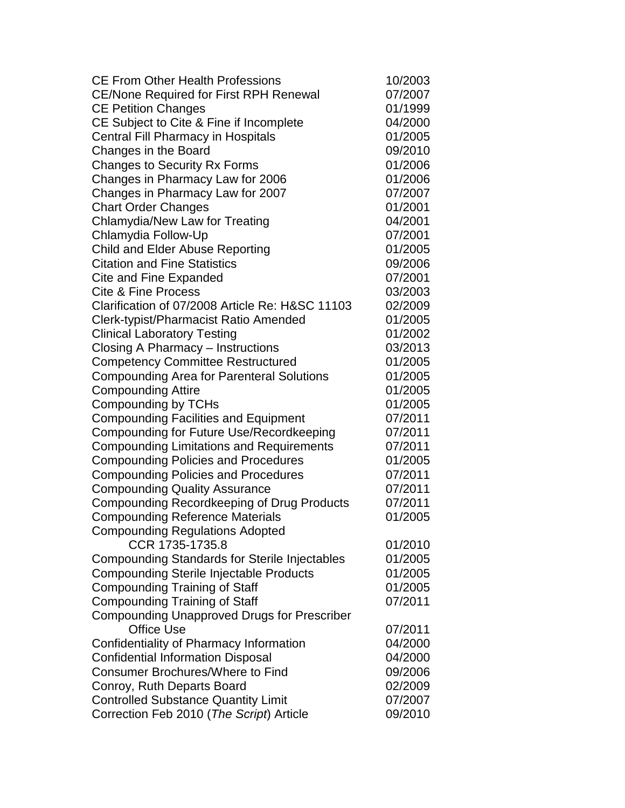| <b>CE From Other Health Professions</b>              | 10/2003 |
|------------------------------------------------------|---------|
| <b>CE/None Required for First RPH Renewal</b>        | 07/2007 |
| <b>CE Petition Changes</b>                           | 01/1999 |
| CE Subject to Cite & Fine if Incomplete              | 04/2000 |
| <b>Central Fill Pharmacy in Hospitals</b>            | 01/2005 |
| Changes in the Board                                 | 09/2010 |
| <b>Changes to Security Rx Forms</b>                  | 01/2006 |
| Changes in Pharmacy Law for 2006                     | 01/2006 |
| Changes in Pharmacy Law for 2007                     | 07/2007 |
| <b>Chart Order Changes</b>                           | 01/2001 |
| Chlamydia/New Law for Treating                       | 04/2001 |
| Chlamydia Follow-Up                                  | 07/2001 |
| Child and Elder Abuse Reporting                      | 01/2005 |
| <b>Citation and Fine Statistics</b>                  | 09/2006 |
| Cite and Fine Expanded                               | 07/2001 |
| <b>Cite &amp; Fine Process</b>                       | 03/2003 |
| Clarification of 07/2008 Article Re: H&SC 11103      | 02/2009 |
| Clerk-typist/Pharmacist Ratio Amended                | 01/2005 |
| <b>Clinical Laboratory Testing</b>                   | 01/2002 |
| Closing A Pharmacy - Instructions                    | 03/2013 |
| <b>Competency Committee Restructured</b>             | 01/2005 |
| <b>Compounding Area for Parenteral Solutions</b>     | 01/2005 |
| <b>Compounding Attire</b>                            | 01/2005 |
| Compounding by TCHs                                  | 01/2005 |
| <b>Compounding Facilities and Equipment</b>          | 07/2011 |
| Compounding for Future Use/Recordkeeping             | 07/2011 |
| <b>Compounding Limitations and Requirements</b>      | 07/2011 |
| <b>Compounding Policies and Procedures</b>           | 01/2005 |
| <b>Compounding Policies and Procedures</b>           | 07/2011 |
| <b>Compounding Quality Assurance</b>                 | 07/2011 |
| Compounding Recordkeeping of Drug Products           | 07/2011 |
| <b>Compounding Reference Materials</b>               | 01/2005 |
| <b>Compounding Regulations Adopted</b>               |         |
| CCR 1735-1735.8                                      | 01/2010 |
| <b>Compounding Standards for Sterile Injectables</b> | 01/2005 |
| <b>Compounding Sterile Injectable Products</b>       | 01/2005 |
| <b>Compounding Training of Staff</b>                 | 01/2005 |
| <b>Compounding Training of Staff</b>                 | 07/2011 |
| <b>Compounding Unapproved Drugs for Prescriber</b>   |         |
| <b>Office Use</b>                                    | 07/2011 |
| Confidentiality of Pharmacy Information              | 04/2000 |
| <b>Confidential Information Disposal</b>             | 04/2000 |
| <b>Consumer Brochures/Where to Find</b>              | 09/2006 |
| Conroy, Ruth Departs Board                           | 02/2009 |
| <b>Controlled Substance Quantity Limit</b>           | 07/2007 |
| Correction Feb 2010 (The Script) Article             | 09/2010 |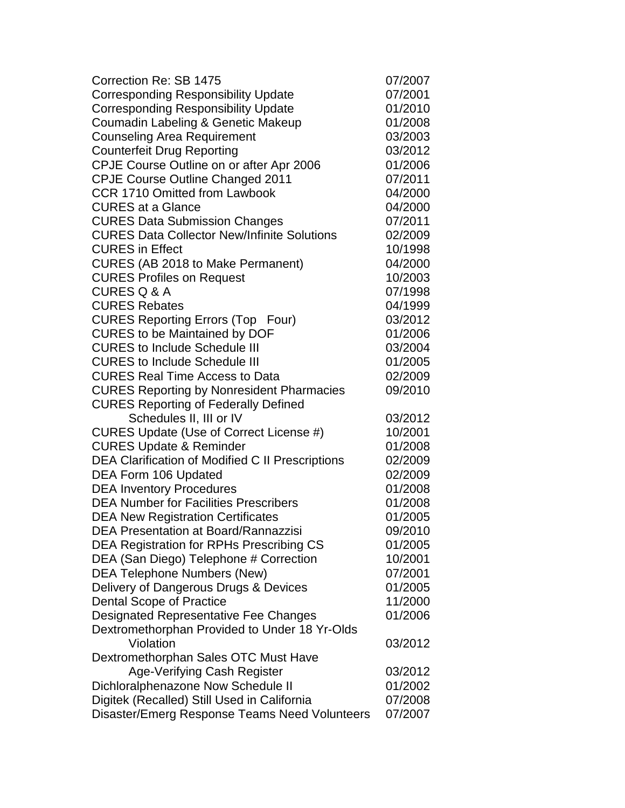| Correction Re: SB 1475                             | 07/2007 |
|----------------------------------------------------|---------|
| <b>Corresponding Responsibility Update</b>         | 07/2001 |
| <b>Corresponding Responsibility Update</b>         | 01/2010 |
| Coumadin Labeling & Genetic Makeup                 | 01/2008 |
| <b>Counseling Area Requirement</b>                 | 03/2003 |
| <b>Counterfeit Drug Reporting</b>                  | 03/2012 |
| CPJE Course Outline on or after Apr 2006           | 01/2006 |
| <b>CPJE Course Outline Changed 2011</b>            | 07/2011 |
| <b>CCR 1710 Omitted from Lawbook</b>               | 04/2000 |
| <b>CURES at a Glance</b>                           | 04/2000 |
| <b>CURES Data Submission Changes</b>               | 07/2011 |
| <b>CURES Data Collector New/Infinite Solutions</b> | 02/2009 |
| <b>CURES</b> in Effect                             | 10/1998 |
| CURES (AB 2018 to Make Permanent)                  | 04/2000 |
| <b>CURES Profiles on Request</b>                   | 10/2003 |
| <b>CURES Q &amp; A</b>                             | 07/1998 |
| <b>CURES Rebates</b>                               | 04/1999 |
| <b>CURES Reporting Errors (Top Four)</b>           | 03/2012 |
| <b>CURES to be Maintained by DOF</b>               | 01/2006 |
| <b>CURES to Include Schedule III</b>               | 03/2004 |
| <b>CURES to Include Schedule III</b>               | 01/2005 |
| <b>CURES Real Time Access to Data</b>              | 02/2009 |
| <b>CURES Reporting by Nonresident Pharmacies</b>   | 09/2010 |
| <b>CURES Reporting of Federally Defined</b>        |         |
| Schedules II, III or IV                            | 03/2012 |
| CURES Update (Use of Correct License #)            | 10/2001 |
| <b>CURES Update &amp; Reminder</b>                 | 01/2008 |
| DEA Clarification of Modified C II Prescriptions   | 02/2009 |
| DEA Form 106 Updated                               | 02/2009 |
| <b>DEA Inventory Procedures</b>                    | 01/2008 |
| <b>DEA Number for Facilities Prescribers</b>       | 01/2008 |
| <b>DEA New Registration Certificates</b>           | 01/2005 |
| <b>DEA Presentation at Board/Rannazzisi</b>        | 09/2010 |
| DEA Registration for RPHs Prescribing CS           | 01/2005 |
| DEA (San Diego) Telephone # Correction             | 10/2001 |
| <b>DEA Telephone Numbers (New)</b>                 | 07/2001 |
| Delivery of Dangerous Drugs & Devices              | 01/2005 |
| <b>Dental Scope of Practice</b>                    | 11/2000 |
| <b>Designated Representative Fee Changes</b>       | 01/2006 |
| Dextromethorphan Provided to Under 18 Yr-Olds      |         |
| Violation                                          | 03/2012 |
| Dextromethorphan Sales OTC Must Have               |         |
| Age-Verifying Cash Register                        | 03/2012 |
| Dichloralphenazone Now Schedule II                 | 01/2002 |
| Digitek (Recalled) Still Used in California        | 07/2008 |
| Disaster/Emerg Response Teams Need Volunteers      | 07/2007 |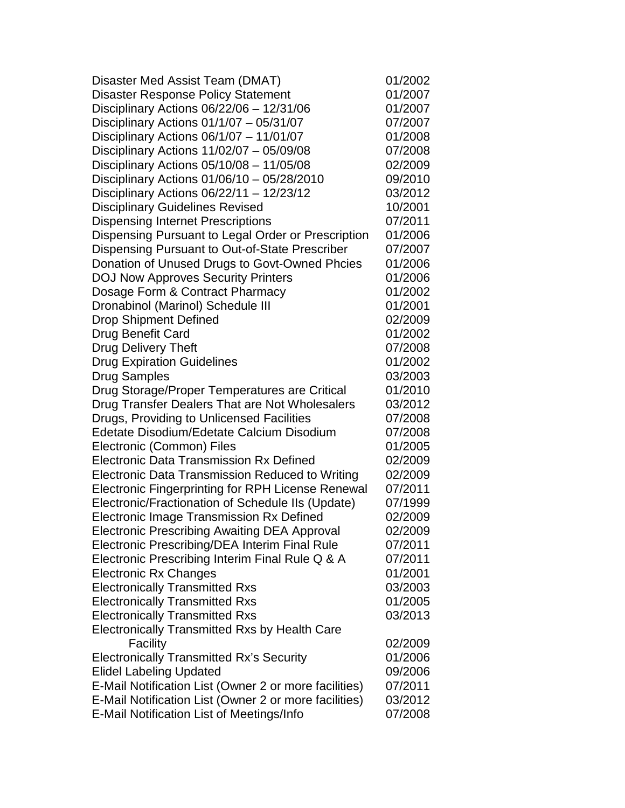| Disaster Med Assist Team (DMAT)                          | 01/2002 |
|----------------------------------------------------------|---------|
| <b>Disaster Response Policy Statement</b>                | 01/2007 |
| Disciplinary Actions 06/22/06 - 12/31/06                 | 01/2007 |
| Disciplinary Actions 01/1/07 - 05/31/07                  | 07/2007 |
| Disciplinary Actions 06/1/07 - 11/01/07                  | 01/2008 |
| Disciplinary Actions $11/02/07 - 05/09/08$               | 07/2008 |
| Disciplinary Actions $05/10/08 - 11/05/08$               | 02/2009 |
| Disciplinary Actions 01/06/10 - 05/28/2010               | 09/2010 |
| Disciplinary Actions $06/22/11 - 12/23/12$               | 03/2012 |
| <b>Disciplinary Guidelines Revised</b>                   | 10/2001 |
| <b>Dispensing Internet Prescriptions</b>                 | 07/2011 |
| Dispensing Pursuant to Legal Order or Prescription       | 01/2006 |
| Dispensing Pursuant to Out-of-State Prescriber           | 07/2007 |
| Donation of Unused Drugs to Govt-Owned Phcies            | 01/2006 |
| <b>DOJ Now Approves Security Printers</b>                | 01/2006 |
| Dosage Form & Contract Pharmacy                          | 01/2002 |
| Dronabinol (Marinol) Schedule III                        | 01/2001 |
| <b>Drop Shipment Defined</b>                             | 02/2009 |
| Drug Benefit Card                                        | 01/2002 |
| <b>Drug Delivery Theft</b>                               | 07/2008 |
| <b>Drug Expiration Guidelines</b>                        | 01/2002 |
| <b>Drug Samples</b>                                      | 03/2003 |
| Drug Storage/Proper Temperatures are Critical            | 01/2010 |
| Drug Transfer Dealers That are Not Wholesalers           | 03/2012 |
| Drugs, Providing to Unlicensed Facilities                | 07/2008 |
| Edetate Disodium/Edetate Calcium Disodium                | 07/2008 |
| Electronic (Common) Files                                | 01/2005 |
| <b>Electronic Data Transmission Rx Defined</b>           | 02/2009 |
| <b>Electronic Data Transmission Reduced to Writing</b>   | 02/2009 |
| <b>Electronic Fingerprinting for RPH License Renewal</b> | 07/2011 |
| Electronic/Fractionation of Schedule IIs (Update)        | 07/1999 |
| Electronic Image Transmission Rx Defined                 | 02/2009 |
| <b>Electronic Prescribing Awaiting DEA Approval</b>      | 02/2009 |
| Electronic Prescribing/DEA Interim Final Rule            | 07/2011 |
| Electronic Prescribing Interim Final Rule Q & A          | 07/2011 |
| <b>Electronic Rx Changes</b>                             | 01/2001 |
| <b>Electronically Transmitted Rxs</b>                    | 03/2003 |
| <b>Electronically Transmitted Rxs</b>                    | 01/2005 |
| <b>Electronically Transmitted Rxs</b>                    | 03/2013 |
| <b>Electronically Transmitted Rxs by Health Care</b>     |         |
| Facility                                                 | 02/2009 |
| <b>Electronically Transmitted Rx's Security</b>          | 01/2006 |
| <b>Elidel Labeling Updated</b>                           | 09/2006 |
| E-Mail Notification List (Owner 2 or more facilities)    | 07/2011 |
| E-Mail Notification List (Owner 2 or more facilities)    | 03/2012 |
| E-Mail Notification List of Meetings/Info                | 07/2008 |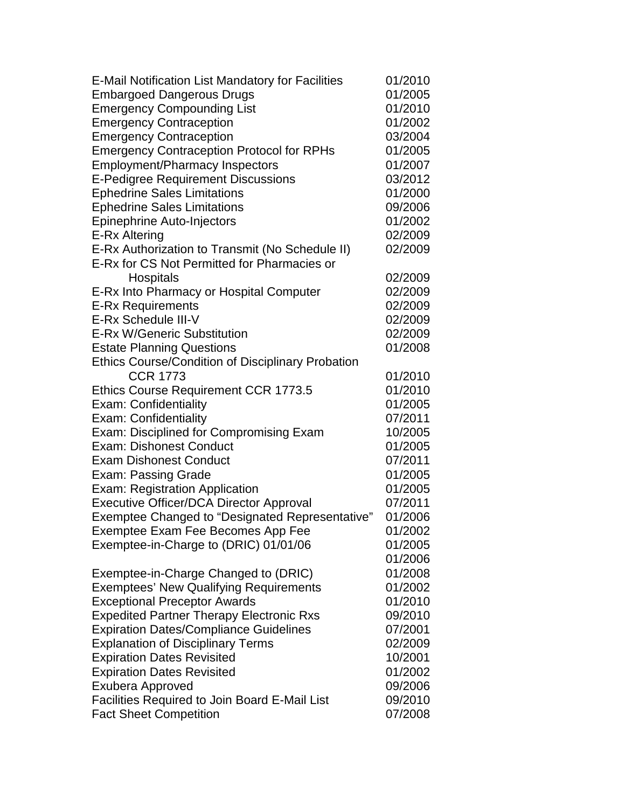| E-Mail Notification List Mandatory for Facilities | 01/2010 |
|---------------------------------------------------|---------|
| <b>Embargoed Dangerous Drugs</b>                  | 01/2005 |
| <b>Emergency Compounding List</b>                 | 01/2010 |
| <b>Emergency Contraception</b>                    | 01/2002 |
| <b>Emergency Contraception</b>                    | 03/2004 |
| <b>Emergency Contraception Protocol for RPHs</b>  | 01/2005 |
| <b>Employment/Pharmacy Inspectors</b>             | 01/2007 |
| <b>E-Pedigree Requirement Discussions</b>         | 03/2012 |
| <b>Ephedrine Sales Limitations</b>                | 01/2000 |
| <b>Ephedrine Sales Limitations</b>                | 09/2006 |
| <b>Epinephrine Auto-Injectors</b>                 | 01/2002 |
| E-Rx Altering                                     | 02/2009 |
| E-Rx Authorization to Transmit (No Schedule II)   | 02/2009 |
| E-Rx for CS Not Permitted for Pharmacies or       |         |
| Hospitals                                         | 02/2009 |
| E-Rx Into Pharmacy or Hospital Computer           | 02/2009 |
| <b>E-Rx Requirements</b>                          | 02/2009 |
| E-Rx Schedule III-V                               | 02/2009 |
| E-Rx W/Generic Substitution                       | 02/2009 |
| <b>Estate Planning Questions</b>                  | 01/2008 |
| Ethics Course/Condition of Disciplinary Probation |         |
| <b>CCR 1773</b>                                   | 01/2010 |
| <b>Ethics Course Requirement CCR 1773.5</b>       | 01/2010 |
| Exam: Confidentiality                             | 01/2005 |
| Exam: Confidentiality                             | 07/2011 |
| Exam: Disciplined for Compromising Exam           | 10/2005 |
| <b>Exam: Dishonest Conduct</b>                    | 01/2005 |
| <b>Exam Dishonest Conduct</b>                     | 07/2011 |
| <b>Exam: Passing Grade</b>                        | 01/2005 |
| Exam: Registration Application                    | 01/2005 |
| <b>Executive Officer/DCA Director Approval</b>    | 07/2011 |
| Exemptee Changed to "Designated Representative"   | 01/2006 |
| Exemptee Exam Fee Becomes App Fee                 | 01/2002 |
| Exemptee-in-Charge to (DRIC) 01/01/06             | 01/2005 |
|                                                   | 01/2006 |
| Exemptee-in-Charge Changed to (DRIC)              | 01/2008 |
| <b>Exemptees' New Qualifying Requirements</b>     | 01/2002 |
| <b>Exceptional Preceptor Awards</b>               | 01/2010 |
| <b>Expedited Partner Therapy Electronic Rxs</b>   | 09/2010 |
| <b>Expiration Dates/Compliance Guidelines</b>     | 07/2001 |
| <b>Explanation of Disciplinary Terms</b>          | 02/2009 |
| <b>Expiration Dates Revisited</b>                 | 10/2001 |
| <b>Expiration Dates Revisited</b>                 | 01/2002 |
| <b>Exubera Approved</b>                           | 09/2006 |
| Facilities Required to Join Board E-Mail List     | 09/2010 |
| <b>Fact Sheet Competition</b>                     | 07/2008 |
|                                                   |         |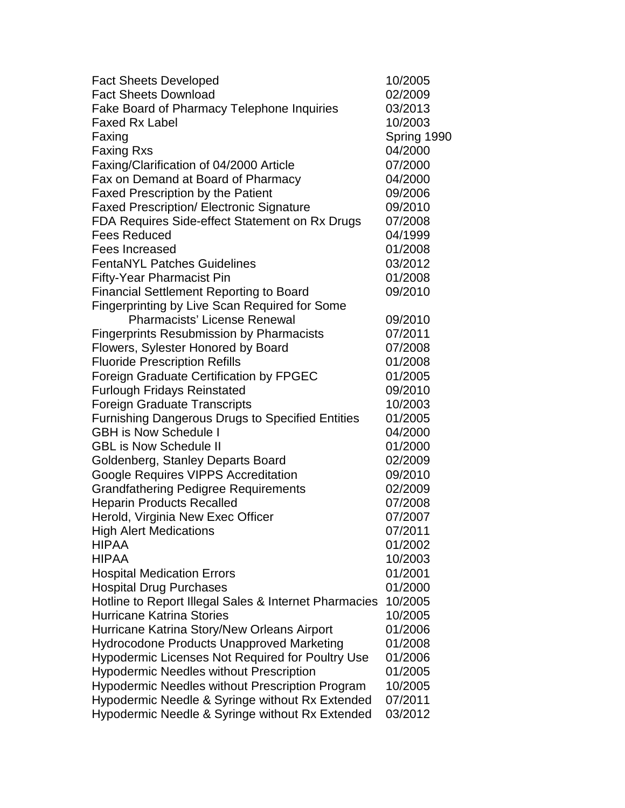| <b>Fact Sheets Developed</b>                            | 10/2005     |
|---------------------------------------------------------|-------------|
| <b>Fact Sheets Download</b>                             | 02/2009     |
| Fake Board of Pharmacy Telephone Inquiries              | 03/2013     |
| <b>Faxed Rx Label</b>                                   | 10/2003     |
| Faxing                                                  | Spring 1990 |
| <b>Faxing Rxs</b>                                       | 04/2000     |
| Faxing/Clarification of 04/2000 Article                 | 07/2000     |
| Fax on Demand at Board of Pharmacy                      | 04/2000     |
| <b>Faxed Prescription by the Patient</b>                | 09/2006     |
| <b>Faxed Prescription/ Electronic Signature</b>         | 09/2010     |
| FDA Requires Side-effect Statement on Rx Drugs          | 07/2008     |
| <b>Fees Reduced</b>                                     | 04/1999     |
| <b>Fees Increased</b>                                   | 01/2008     |
| <b>FentaNYL Patches Guidelines</b>                      | 03/2012     |
| <b>Fifty-Year Pharmacist Pin</b>                        | 01/2008     |
| <b>Financial Settlement Reporting to Board</b>          | 09/2010     |
| Fingerprinting by Live Scan Required for Some           |             |
| <b>Pharmacists' License Renewal</b>                     | 09/2010     |
| <b>Fingerprints Resubmission by Pharmacists</b>         | 07/2011     |
| Flowers, Sylester Honored by Board                      | 07/2008     |
| <b>Fluoride Prescription Refills</b>                    | 01/2008     |
| Foreign Graduate Certification by FPGEC                 | 01/2005     |
| <b>Furlough Fridays Reinstated</b>                      | 09/2010     |
| <b>Foreign Graduate Transcripts</b>                     | 10/2003     |
| <b>Furnishing Dangerous Drugs to Specified Entities</b> | 01/2005     |
| <b>GBH is Now Schedule I</b>                            | 04/2000     |
| <b>GBL is Now Schedule II</b>                           | 01/2000     |
| Goldenberg, Stanley Departs Board                       | 02/2009     |
| Google Requires VIPPS Accreditation                     | 09/2010     |
| <b>Grandfathering Pedigree Requirements</b>             | 02/2009     |
| <b>Heparin Products Recalled</b>                        | 07/2008     |
| Herold, Virginia New Exec Officer                       | 07/2007     |
| <b>High Alert Medications</b>                           | 07/2011     |
| <b>HIPAA</b>                                            | 01/2002     |
| <b>HIPAA</b>                                            | 10/2003     |
| <b>Hospital Medication Errors</b>                       | 01/2001     |
| <b>Hospital Drug Purchases</b>                          | 01/2000     |
| Hotline to Report Illegal Sales & Internet Pharmacies   | 10/2005     |
| <b>Hurricane Katrina Stories</b>                        | 10/2005     |
| Hurricane Katrina Story/New Orleans Airport             | 01/2006     |
| <b>Hydrocodone Products Unapproved Marketing</b>        | 01/2008     |
| <b>Hypodermic Licenses Not Required for Poultry Use</b> | 01/2006     |
| <b>Hypodermic Needles without Prescription</b>          | 01/2005     |
| <b>Hypodermic Needles without Prescription Program</b>  | 10/2005     |
| Hypodermic Needle & Syringe without Rx Extended         | 07/2011     |
| Hypodermic Needle & Syringe without Rx Extended         | 03/2012     |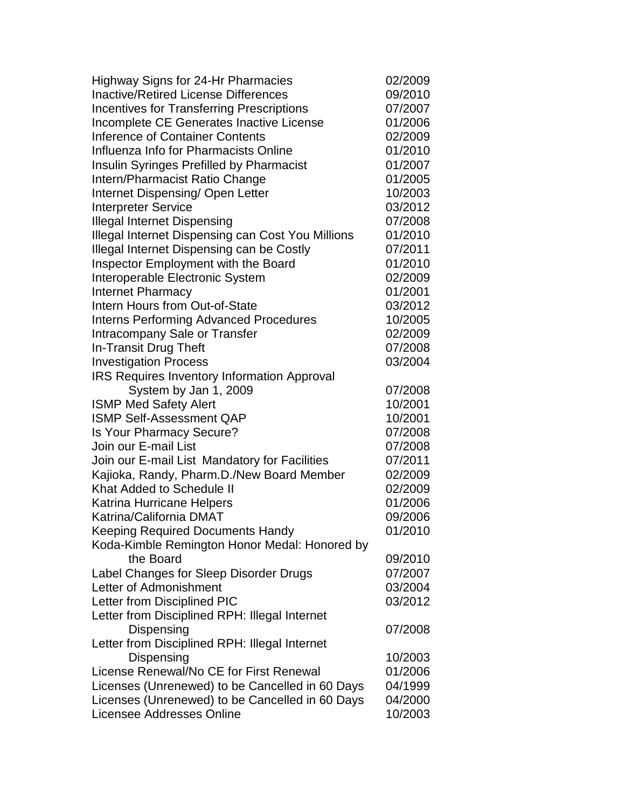| <b>Highway Signs for 24-Hr Pharmacies</b>          | 02/2009 |
|----------------------------------------------------|---------|
| <b>Inactive/Retired License Differences</b>        | 09/2010 |
| <b>Incentives for Transferring Prescriptions</b>   | 07/2007 |
| Incomplete CE Generates Inactive License           | 01/2006 |
| Inference of Container Contents                    | 02/2009 |
| Influenza Info for Pharmacists Online              | 01/2010 |
| <b>Insulin Syringes Prefilled by Pharmacist</b>    | 01/2007 |
| Intern/Pharmacist Ratio Change                     | 01/2005 |
| Internet Dispensing/ Open Letter                   | 10/2003 |
| <b>Interpreter Service</b>                         | 03/2012 |
| <b>Illegal Internet Dispensing</b>                 | 07/2008 |
| Illegal Internet Dispensing can Cost You Millions  | 01/2010 |
| Illegal Internet Dispensing can be Costly          | 07/2011 |
| Inspector Employment with the Board                | 01/2010 |
| Interoperable Electronic System                    | 02/2009 |
| <b>Internet Pharmacy</b>                           | 01/2001 |
| Intern Hours from Out-of-State                     | 03/2012 |
| <b>Interns Performing Advanced Procedures</b>      | 10/2005 |
| Intracompany Sale or Transfer                      | 02/2009 |
| In-Transit Drug Theft                              | 07/2008 |
| <b>Investigation Process</b>                       | 03/2004 |
| <b>IRS Requires Inventory Information Approval</b> |         |
| System by Jan 1, 2009                              | 07/2008 |
| <b>ISMP Med Safety Alert</b>                       | 10/2001 |
| <b>ISMP Self-Assessment QAP</b>                    | 10/2001 |
| Is Your Pharmacy Secure?                           | 07/2008 |
| Join our E-mail List                               | 07/2008 |
| Join our E-mail List Mandatory for Facilities      | 07/2011 |
| Kajioka, Randy, Pharm.D./New Board Member          | 02/2009 |
| Khat Added to Schedule II                          | 02/2009 |
| <b>Katrina Hurricane Helpers</b>                   | 01/2006 |
| Katrina/California DMAT                            | 09/2006 |
| <b>Keeping Required Documents Handy</b>            | 01/2010 |
| Koda-Kimble Remington Honor Medal: Honored by      |         |
| the Board                                          | 09/2010 |
| Label Changes for Sleep Disorder Drugs             | 07/2007 |
| Letter of Admonishment                             | 03/2004 |
| Letter from Disciplined PIC                        | 03/2012 |
| Letter from Disciplined RPH: Illegal Internet      |         |
| Dispensing                                         | 07/2008 |
| Letter from Disciplined RPH: Illegal Internet      |         |
| Dispensing                                         | 10/2003 |
| License Renewal/No CE for First Renewal            | 01/2006 |
| Licenses (Unrenewed) to be Cancelled in 60 Days    | 04/1999 |
| Licenses (Unrenewed) to be Cancelled in 60 Days    | 04/2000 |
| Licensee Addresses Online                          | 10/2003 |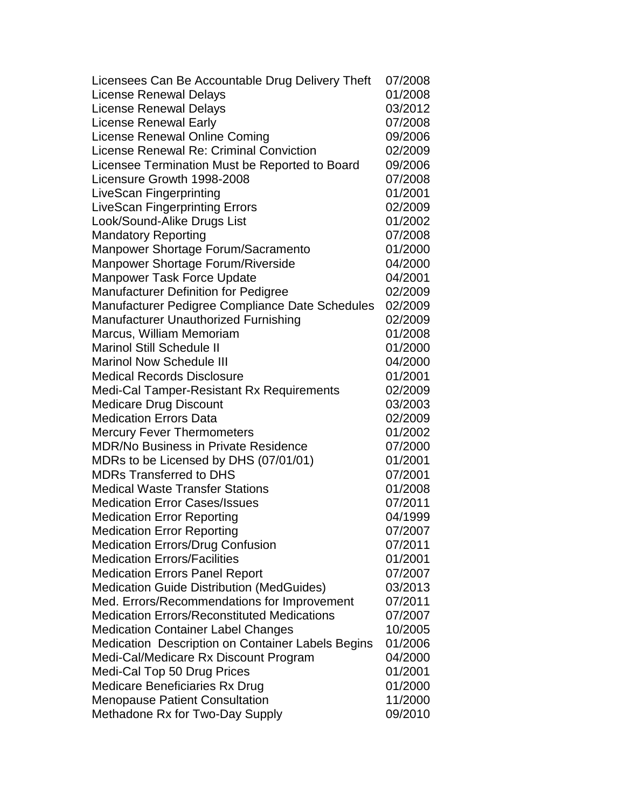| Licensees Can Be Accountable Drug Delivery Theft         | 07/2008 |
|----------------------------------------------------------|---------|
| License Renewal Delays                                   | 01/2008 |
| <b>License Renewal Delays</b>                            | 03/2012 |
| <b>License Renewal Early</b>                             | 07/2008 |
| License Renewal Online Coming                            | 09/2006 |
| <b>License Renewal Re: Criminal Conviction</b>           | 02/2009 |
| Licensee Termination Must be Reported to Board           | 09/2006 |
| Licensure Growth 1998-2008                               | 07/2008 |
| LiveScan Fingerprinting                                  | 01/2001 |
| <b>LiveScan Fingerprinting Errors</b>                    | 02/2009 |
| Look/Sound-Alike Drugs List                              | 01/2002 |
| <b>Mandatory Reporting</b>                               | 07/2008 |
| Manpower Shortage Forum/Sacramento                       | 01/2000 |
| Manpower Shortage Forum/Riverside                        | 04/2000 |
| <b>Manpower Task Force Update</b>                        | 04/2001 |
| <b>Manufacturer Definition for Pedigree</b>              | 02/2009 |
| Manufacturer Pedigree Compliance Date Schedules          | 02/2009 |
| <b>Manufacturer Unauthorized Furnishing</b>              | 02/2009 |
| Marcus, William Memoriam                                 | 01/2008 |
| <b>Marinol Still Schedule II</b>                         | 01/2000 |
| <b>Marinol Now Schedule III</b>                          | 04/2000 |
| <b>Medical Records Disclosure</b>                        | 01/2001 |
| Medi-Cal Tamper-Resistant Rx Requirements                | 02/2009 |
| <b>Medicare Drug Discount</b>                            | 03/2003 |
| <b>Medication Errors Data</b>                            | 02/2009 |
| <b>Mercury Fever Thermometers</b>                        | 01/2002 |
| <b>MDR/No Business in Private Residence</b>              | 07/2000 |
| MDRs to be Licensed by DHS (07/01/01)                    | 01/2001 |
| <b>MDRs Transferred to DHS</b>                           | 07/2001 |
| <b>Medical Waste Transfer Stations</b>                   | 01/2008 |
| <b>Medication Error Cases/Issues</b>                     | 07/2011 |
| <b>Medication Error Reporting</b>                        | 04/1999 |
| <b>Medication Error Reporting</b>                        | 07/2007 |
| <b>Medication Errors/Drug Confusion</b>                  | 07/2011 |
| <b>Medication Errors/Facilities</b>                      | 01/2001 |
| <b>Medication Errors Panel Report</b>                    | 07/2007 |
| <b>Medication Guide Distribution (MedGuides)</b>         | 03/2013 |
| Med. Errors/Recommendations for Improvement              | 07/2011 |
| <b>Medication Errors/Reconstituted Medications</b>       | 07/2007 |
| <b>Medication Container Label Changes</b>                | 10/2005 |
| <b>Medication Description on Container Labels Begins</b> | 01/2006 |
| Medi-Cal/Medicare Rx Discount Program                    | 04/2000 |
| Medi-Cal Top 50 Drug Prices                              | 01/2001 |
| Medicare Beneficiaries Rx Drug                           | 01/2000 |
| <b>Menopause Patient Consultation</b>                    | 11/2000 |
| Methadone Rx for Two-Day Supply                          | 09/2010 |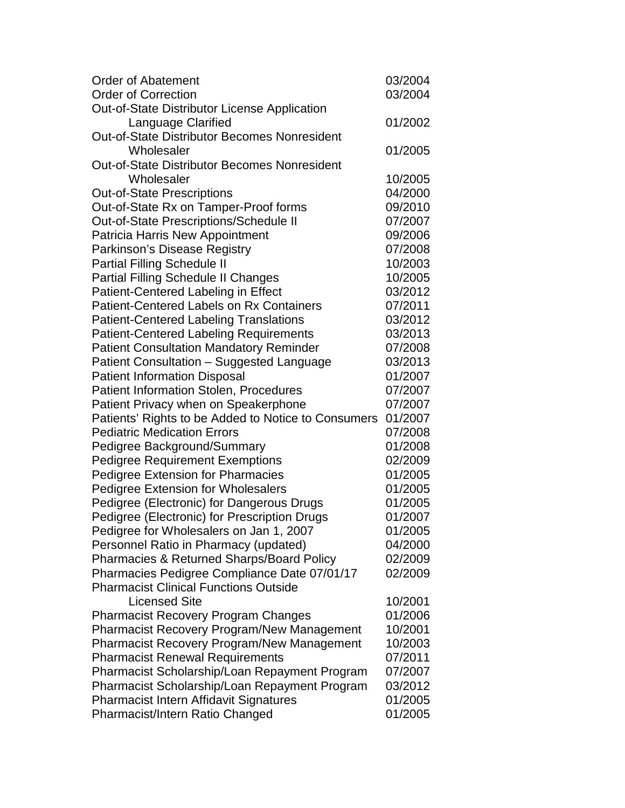| <b>Order of Abatement</b>                            | 03/2004 |
|------------------------------------------------------|---------|
| <b>Order of Correction</b>                           | 03/2004 |
| Out-of-State Distributor License Application         |         |
| Language Clarified                                   | 01/2002 |
| <b>Out-of-State Distributor Becomes Nonresident</b>  |         |
| Wholesaler                                           | 01/2005 |
| <b>Out-of-State Distributor Becomes Nonresident</b>  |         |
| Wholesaler                                           | 10/2005 |
| <b>Out-of-State Prescriptions</b>                    | 04/2000 |
| Out-of-State Rx on Tamper-Proof forms                | 09/2010 |
| Out-of-State Prescriptions/Schedule II               | 07/2007 |
| Patricia Harris New Appointment                      | 09/2006 |
| Parkinson's Disease Registry                         | 07/2008 |
| <b>Partial Filling Schedule II</b>                   | 10/2003 |
| <b>Partial Filling Schedule II Changes</b>           | 10/2005 |
| Patient-Centered Labeling in Effect                  | 03/2012 |
| <b>Patient-Centered Labels on Rx Containers</b>      | 07/2011 |
| <b>Patient-Centered Labeling Translations</b>        | 03/2012 |
| <b>Patient-Centered Labeling Requirements</b>        | 03/2013 |
| <b>Patient Consultation Mandatory Reminder</b>       | 07/2008 |
| Patient Consultation - Suggested Language            | 03/2013 |
| <b>Patient Information Disposal</b>                  | 01/2007 |
| <b>Patient Information Stolen, Procedures</b>        | 07/2007 |
| Patient Privacy when on Speakerphone                 | 07/2007 |
| Patients' Rights to be Added to Notice to Consumers  | 01/2007 |
| <b>Pediatric Medication Errors</b>                   | 07/2008 |
|                                                      | 01/2008 |
| Pedigree Background/Summary                          |         |
| <b>Pedigree Requirement Exemptions</b>               | 02/2009 |
| <b>Pedigree Extension for Pharmacies</b>             | 01/2005 |
| <b>Pedigree Extension for Wholesalers</b>            | 01/2005 |
| Pedigree (Electronic) for Dangerous Drugs            | 01/2005 |
| Pedigree (Electronic) for Prescription Drugs         | 01/2007 |
| Pedigree for Wholesalers on Jan 1, 2007              | 01/2005 |
| Personnel Ratio in Pharmacy (updated)                | 04/2000 |
| <b>Pharmacies &amp; Returned Sharps/Board Policy</b> | 02/2009 |
| Pharmacies Pedigree Compliance Date 07/01/17         | 02/2009 |
| <b>Pharmacist Clinical Functions Outside</b>         |         |
| <b>Licensed Site</b>                                 | 10/2001 |
| <b>Pharmacist Recovery Program Changes</b>           | 01/2006 |
| <b>Pharmacist Recovery Program/New Management</b>    | 10/2001 |
| <b>Pharmacist Recovery Program/New Management</b>    | 10/2003 |
| <b>Pharmacist Renewal Requirements</b>               | 07/2011 |
| Pharmacist Scholarship/Loan Repayment Program        | 07/2007 |
| Pharmacist Scholarship/Loan Repayment Program        | 03/2012 |
| Pharmacist Intern Affidavit Signatures               | 01/2005 |
| Pharmacist/Intern Ratio Changed                      | 01/2005 |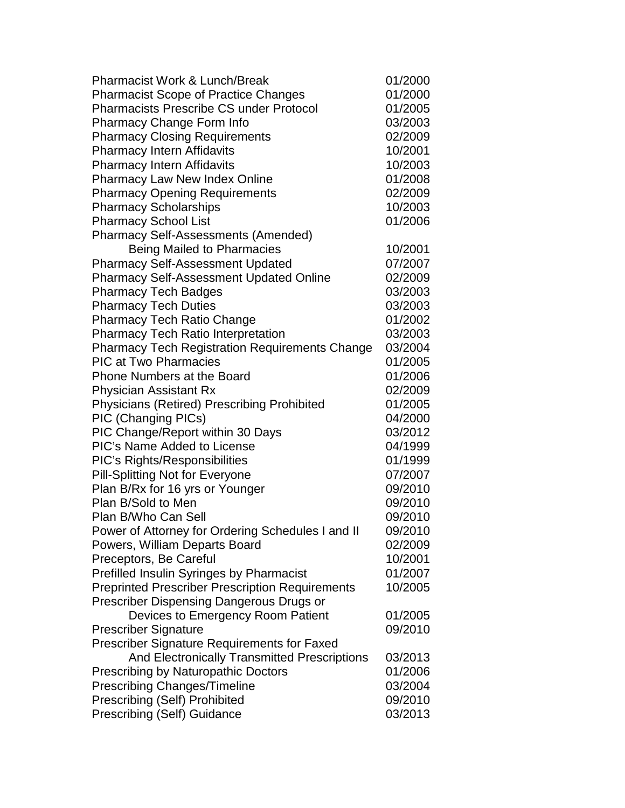| <b>Pharmacist Work &amp; Lunch/Break</b>               | 01/2000 |
|--------------------------------------------------------|---------|
| <b>Pharmacist Scope of Practice Changes</b>            | 01/2000 |
| <b>Pharmacists Prescribe CS under Protocol</b>         | 01/2005 |
| <b>Pharmacy Change Form Info</b>                       | 03/2003 |
| <b>Pharmacy Closing Requirements</b>                   | 02/2009 |
| <b>Pharmacy Intern Affidavits</b>                      | 10/2001 |
| <b>Pharmacy Intern Affidavits</b>                      | 10/2003 |
| Pharmacy Law New Index Online                          | 01/2008 |
| <b>Pharmacy Opening Requirements</b>                   | 02/2009 |
| <b>Pharmacy Scholarships</b>                           | 10/2003 |
| <b>Pharmacy School List</b>                            | 01/2006 |
| <b>Pharmacy Self-Assessments (Amended)</b>             |         |
| <b>Being Mailed to Pharmacies</b>                      | 10/2001 |
| <b>Pharmacy Self-Assessment Updated</b>                | 07/2007 |
| <b>Pharmacy Self-Assessment Updated Online</b>         | 02/2009 |
| <b>Pharmacy Tech Badges</b>                            | 03/2003 |
| <b>Pharmacy Tech Duties</b>                            | 03/2003 |
| <b>Pharmacy Tech Ratio Change</b>                      | 01/2002 |
| <b>Pharmacy Tech Ratio Interpretation</b>              | 03/2003 |
| <b>Pharmacy Tech Registration Requirements Change</b>  | 03/2004 |
| <b>PIC at Two Pharmacies</b>                           | 01/2005 |
| <b>Phone Numbers at the Board</b>                      | 01/2006 |
| <b>Physician Assistant Rx</b>                          | 02/2009 |
| <b>Physicians (Retired) Prescribing Prohibited</b>     | 01/2005 |
| PIC (Changing PICs)                                    | 04/2000 |
| PIC Change/Report within 30 Days                       | 03/2012 |
| <b>PIC's Name Added to License</b>                     | 04/1999 |
| PIC's Rights/Responsibilities                          | 01/1999 |
| Pill-Splitting Not for Everyone                        | 07/2007 |
| Plan B/Rx for 16 yrs or Younger                        | 09/2010 |
| Plan B/Sold to Men                                     | 09/2010 |
| Plan B/Who Can Sell                                    | 09/2010 |
| Power of Attorney for Ordering Schedules I and II      | 09/2010 |
| Powers, William Departs Board                          | 02/2009 |
| Preceptors, Be Careful                                 | 10/2001 |
| Prefilled Insulin Syringes by Pharmacist               | 01/2007 |
| <b>Preprinted Prescriber Prescription Requirements</b> | 10/2005 |
| Prescriber Dispensing Dangerous Drugs or               |         |
| Devices to Emergency Room Patient                      | 01/2005 |
| <b>Prescriber Signature</b>                            | 09/2010 |
| <b>Prescriber Signature Requirements for Faxed</b>     |         |
| And Electronically Transmitted Prescriptions           | 03/2013 |
| Prescribing by Naturopathic Doctors                    | 01/2006 |
| <b>Prescribing Changes/Timeline</b>                    | 03/2004 |
| <b>Prescribing (Self) Prohibited</b>                   | 09/2010 |
| <b>Prescribing (Self) Guidance</b>                     | 03/2013 |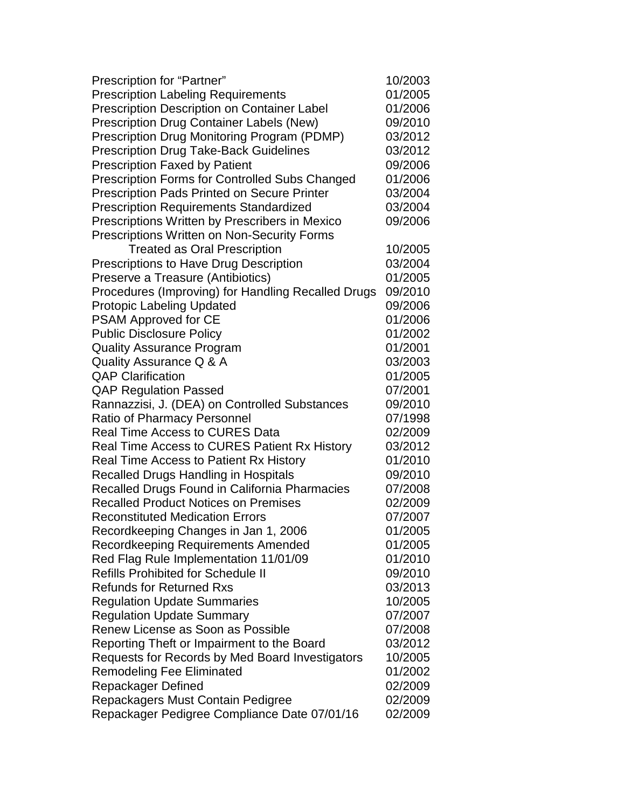| Prescription for "Partner"                            | 10/2003 |
|-------------------------------------------------------|---------|
| <b>Prescription Labeling Requirements</b>             | 01/2005 |
| <b>Prescription Description on Container Label</b>    | 01/2006 |
| Prescription Drug Container Labels (New)              | 09/2010 |
| Prescription Drug Monitoring Program (PDMP)           | 03/2012 |
| <b>Prescription Drug Take-Back Guidelines</b>         | 03/2012 |
| <b>Prescription Faxed by Patient</b>                  | 09/2006 |
| <b>Prescription Forms for Controlled Subs Changed</b> | 01/2006 |
| <b>Prescription Pads Printed on Secure Printer</b>    | 03/2004 |
| <b>Prescription Requirements Standardized</b>         | 03/2004 |
| Prescriptions Written by Prescribers in Mexico        | 09/2006 |
| <b>Prescriptions Written on Non-Security Forms</b>    |         |
| <b>Treated as Oral Prescription</b>                   | 10/2005 |
| Prescriptions to Have Drug Description                | 03/2004 |
| Preserve a Treasure (Antibiotics)                     | 01/2005 |
| Procedures (Improving) for Handling Recalled Drugs    | 09/2010 |
| <b>Protopic Labeling Updated</b>                      | 09/2006 |
| <b>PSAM Approved for CE</b>                           | 01/2006 |
| <b>Public Disclosure Policy</b>                       | 01/2002 |
| <b>Quality Assurance Program</b>                      | 01/2001 |
| Quality Assurance Q & A                               | 03/2003 |
| <b>QAP Clarification</b>                              | 01/2005 |
| <b>QAP Regulation Passed</b>                          | 07/2001 |
| Rannazzisi, J. (DEA) on Controlled Substances         | 09/2010 |
| <b>Ratio of Pharmacy Personnel</b>                    | 07/1998 |
| <b>Real Time Access to CURES Data</b>                 | 02/2009 |
| Real Time Access to CURES Patient Rx History          | 03/2012 |
| Real Time Access to Patient Rx History                | 01/2010 |
| <b>Recalled Drugs Handling in Hospitals</b>           | 09/2010 |
| Recalled Drugs Found in California Pharmacies         | 07/2008 |
| <b>Recalled Product Notices on Premises</b>           | 02/2009 |
| <b>Reconstituted Medication Errors</b>                | 07/2007 |
| Recordkeeping Changes in Jan 1, 2006                  | 01/2005 |
| Recordkeeping Requirements Amended                    | 01/2005 |
| Red Flag Rule Implementation 11/01/09                 | 01/2010 |
| <b>Refills Prohibited for Schedule II</b>             | 09/2010 |
| <b>Refunds for Returned Rxs</b>                       | 03/2013 |
| <b>Regulation Update Summaries</b>                    | 10/2005 |
| <b>Regulation Update Summary</b>                      | 07/2007 |
| Renew License as Soon as Possible                     | 07/2008 |
| Reporting Theft or Impairment to the Board            | 03/2012 |
| Requests for Records by Med Board Investigators       | 10/2005 |
| <b>Remodeling Fee Eliminated</b>                      | 01/2002 |
| <b>Repackager Defined</b>                             | 02/2009 |
| Repackagers Must Contain Pedigree                     | 02/2009 |
| Repackager Pedigree Compliance Date 07/01/16          | 02/2009 |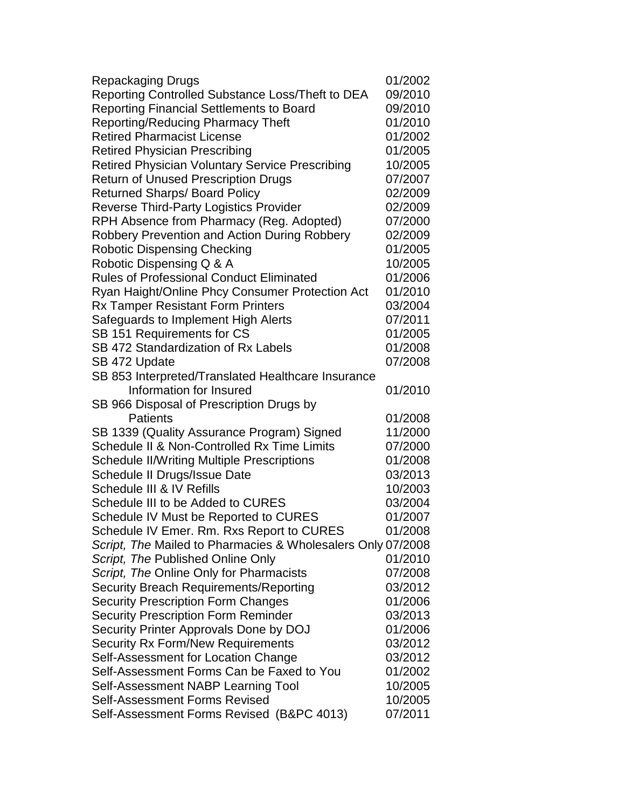| <b>Repackaging Drugs</b>                                    | 01/2002 |
|-------------------------------------------------------------|---------|
| Reporting Controlled Substance Loss/Theft to DEA            | 09/2010 |
| <b>Reporting Financial Settlements to Board</b>             | 09/2010 |
| <b>Reporting/Reducing Pharmacy Theft</b>                    | 01/2010 |
| <b>Retired Pharmacist License</b>                           | 01/2002 |
| <b>Retired Physician Prescribing</b>                        | 01/2005 |
| <b>Retired Physician Voluntary Service Prescribing</b>      | 10/2005 |
| <b>Return of Unused Prescription Drugs</b>                  | 07/2007 |
| <b>Returned Sharps/Board Policy</b>                         | 02/2009 |
| <b>Reverse Third-Party Logistics Provider</b>               | 02/2009 |
| RPH Absence from Pharmacy (Reg. Adopted)                    | 07/2000 |
| <b>Robbery Prevention and Action During Robbery</b>         | 02/2009 |
| <b>Robotic Dispensing Checking</b>                          | 01/2005 |
| Robotic Dispensing Q & A                                    | 10/2005 |
| <b>Rules of Professional Conduct Eliminated</b>             | 01/2006 |
| Ryan Haight/Online Phcy Consumer Protection Act             | 01/2010 |
| <b>Rx Tamper Resistant Form Printers</b>                    | 03/2004 |
| Safeguards to Implement High Alerts                         | 07/2011 |
| SB 151 Requirements for CS                                  | 01/2005 |
| SB 472 Standardization of Rx Labels                         | 01/2008 |
| SB 472 Update                                               | 07/2008 |
| SB 853 Interpreted/Translated Healthcare Insurance          |         |
| Information for Insured                                     | 01/2010 |
| SB 966 Disposal of Prescription Drugs by                    |         |
| <b>Patients</b>                                             | 01/2008 |
| SB 1339 (Quality Assurance Program) Signed                  | 11/2000 |
| Schedule II & Non-Controlled Rx Time Limits                 | 07/2000 |
| <b>Schedule II/Writing Multiple Prescriptions</b>           | 01/2008 |
| Schedule II Drugs/Issue Date                                | 03/2013 |
| Schedule III & IV Refills                                   | 10/2003 |
| Schedule III to be Added to CURES                           | 03/2004 |
| Schedule IV Must be Reported to CURES                       | 01/2007 |
| Schedule IV Emer. Rm. Rxs Report to CURES                   | 01/2008 |
| Script, The Mailed to Pharmacies & Wholesalers Only 07/2008 |         |
| Script, The Published Online Only                           | 01/2010 |
| Script, The Online Only for Pharmacists                     | 07/2008 |
| <b>Security Breach Requirements/Reporting</b>               | 03/2012 |
| <b>Security Prescription Form Changes</b>                   | 01/2006 |
| <b>Security Prescription Form Reminder</b>                  | 03/2013 |
| Security Printer Approvals Done by DOJ                      | 01/2006 |
| <b>Security Rx Form/New Requirements</b>                    | 03/2012 |
| Self-Assessment for Location Change                         | 03/2012 |
| Self-Assessment Forms Can be Faxed to You                   | 01/2002 |
| Self-Assessment NABP Learning Tool                          | 10/2005 |
| <b>Self-Assessment Forms Revised</b>                        | 10/2005 |
| Self-Assessment Forms Revised (B&PC 4013)                   | 07/2011 |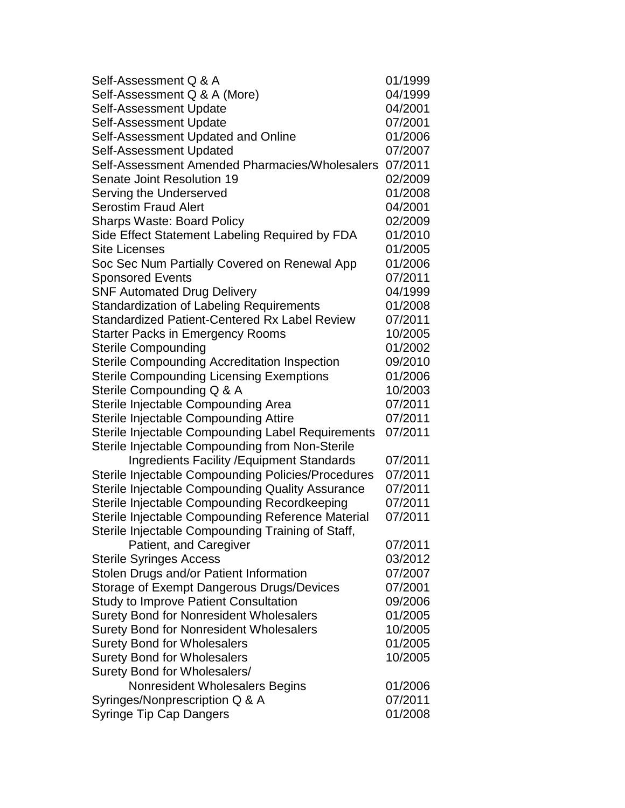| Self-Assessment Q & A                                | 01/1999 |
|------------------------------------------------------|---------|
| Self-Assessment Q & A (More)                         | 04/1999 |
| Self-Assessment Update                               | 04/2001 |
| Self-Assessment Update                               | 07/2001 |
| Self-Assessment Updated and Online                   | 01/2006 |
| Self-Assessment Updated                              | 07/2007 |
| Self-Assessment Amended Pharmacies/Wholesalers       | 07/2011 |
| Senate Joint Resolution 19                           | 02/2009 |
| Serving the Underserved                              | 01/2008 |
| <b>Serostim Fraud Alert</b>                          | 04/2001 |
| <b>Sharps Waste: Board Policy</b>                    | 02/2009 |
| Side Effect Statement Labeling Required by FDA       | 01/2010 |
| <b>Site Licenses</b>                                 | 01/2005 |
| Soc Sec Num Partially Covered on Renewal App         | 01/2006 |
| <b>Sponsored Events</b>                              | 07/2011 |
| <b>SNF Automated Drug Delivery</b>                   | 04/1999 |
| <b>Standardization of Labeling Requirements</b>      | 01/2008 |
| <b>Standardized Patient-Centered Rx Label Review</b> | 07/2011 |
| <b>Starter Packs in Emergency Rooms</b>              | 10/2005 |
| <b>Sterile Compounding</b>                           | 01/2002 |
| <b>Sterile Compounding Accreditation Inspection</b>  | 09/2010 |
| <b>Sterile Compounding Licensing Exemptions</b>      | 01/2006 |
| Sterile Compounding Q & A                            | 10/2003 |
| Sterile Injectable Compounding Area                  | 07/2011 |
| Sterile Injectable Compounding Attire                | 07/2011 |
| Sterile Injectable Compounding Label Requirements    | 07/2011 |
| Sterile Injectable Compounding from Non-Sterile      |         |
| <b>Ingredients Facility / Equipment Standards</b>    | 07/2011 |
| Sterile Injectable Compounding Policies/Procedures   | 07/2011 |
| Sterile Injectable Compounding Quality Assurance     | 07/2011 |
| Sterile Injectable Compounding Recordkeeping         | 07/2011 |
| Sterile Injectable Compounding Reference Material    | 07/2011 |
| Sterile Injectable Compounding Training of Staff,    |         |
| Patient, and Caregiver                               | 07/2011 |
| <b>Sterile Syringes Access</b>                       | 03/2012 |
| Stolen Drugs and/or Patient Information              | 07/2007 |
| Storage of Exempt Dangerous Drugs/Devices            | 07/2001 |
| <b>Study to Improve Patient Consultation</b>         | 09/2006 |
| <b>Surety Bond for Nonresident Wholesalers</b>       | 01/2005 |
| <b>Surety Bond for Nonresident Wholesalers</b>       | 10/2005 |
| <b>Surety Bond for Wholesalers</b>                   | 01/2005 |
| <b>Surety Bond for Wholesalers</b>                   | 10/2005 |
| Surety Bond for Wholesalers/                         |         |
| Nonresident Wholesalers Begins                       | 01/2006 |
| Syringes/Nonprescription Q & A                       | 07/2011 |
| <b>Syringe Tip Cap Dangers</b>                       | 01/2008 |
|                                                      |         |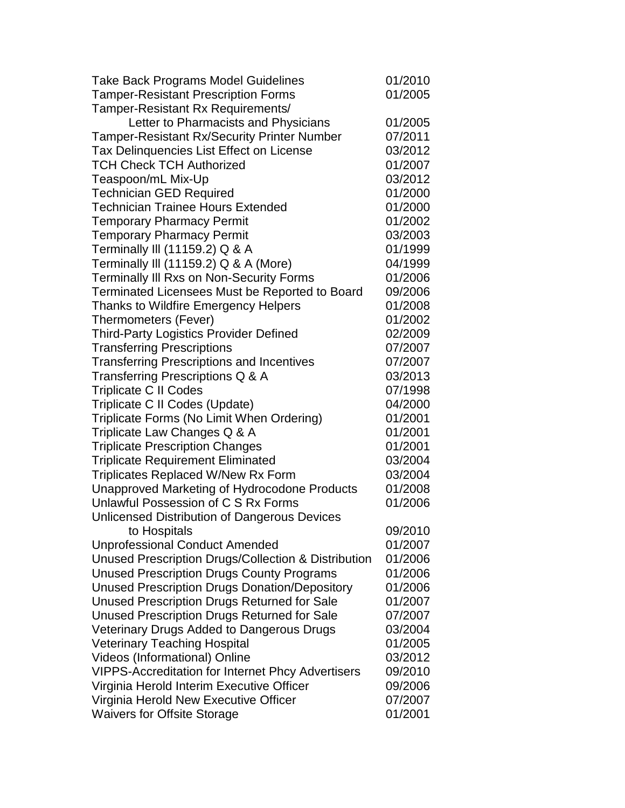| <b>Take Back Programs Model Guidelines</b>               | 01/2010 |
|----------------------------------------------------------|---------|
| <b>Tamper-Resistant Prescription Forms</b>               | 01/2005 |
| Tamper-Resistant Rx Requirements/                        |         |
| Letter to Pharmacists and Physicians                     | 01/2005 |
| <b>Tamper-Resistant Rx/Security Printer Number</b>       | 07/2011 |
| Tax Delinquencies List Effect on License                 | 03/2012 |
| <b>TCH Check TCH Authorized</b>                          | 01/2007 |
| Teaspoon/mL Mix-Up                                       | 03/2012 |
| <b>Technician GED Required</b>                           | 01/2000 |
| <b>Technician Trainee Hours Extended</b>                 | 01/2000 |
| <b>Temporary Pharmacy Permit</b>                         | 01/2002 |
| <b>Temporary Pharmacy Permit</b>                         | 03/2003 |
| Terminally III (11159.2) Q & A                           | 01/1999 |
| Terminally III (11159.2) Q & A (More)                    | 04/1999 |
| <b>Terminally III Rxs on Non-Security Forms</b>          | 01/2006 |
| Terminated Licensees Must be Reported to Board           | 09/2006 |
| <b>Thanks to Wildfire Emergency Helpers</b>              | 01/2008 |
| Thermometers (Fever)                                     | 01/2002 |
| <b>Third-Party Logistics Provider Defined</b>            | 02/2009 |
| <b>Transferring Prescriptions</b>                        | 07/2007 |
| <b>Transferring Prescriptions and Incentives</b>         | 07/2007 |
| Transferring Prescriptions Q & A                         | 03/2013 |
| <b>Triplicate C II Codes</b>                             | 07/1998 |
| Triplicate C II Codes (Update)                           | 04/2000 |
| Triplicate Forms (No Limit When Ordering)                | 01/2001 |
| Triplicate Law Changes Q & A                             | 01/2001 |
| <b>Triplicate Prescription Changes</b>                   | 01/2001 |
| <b>Triplicate Requirement Eliminated</b>                 | 03/2004 |
| Triplicates Replaced W/New Rx Form                       | 03/2004 |
| Unapproved Marketing of Hydrocodone Products             | 01/2008 |
| Unlawful Possession of C S Rx Forms                      | 01/2006 |
| Unlicensed Distribution of Dangerous Devices             |         |
| to Hospitals                                             | 09/2010 |
| <b>Unprofessional Conduct Amended</b>                    | 01/2007 |
| Unused Prescription Drugs/Collection & Distribution      | 01/2006 |
| <b>Unused Prescription Drugs County Programs</b>         | 01/2006 |
| <b>Unused Prescription Drugs Donation/Depository</b>     | 01/2006 |
| Unused Prescription Drugs Returned for Sale              | 01/2007 |
| Unused Prescription Drugs Returned for Sale              | 07/2007 |
| <b>Veterinary Drugs Added to Dangerous Drugs</b>         | 03/2004 |
| <b>Veterinary Teaching Hospital</b>                      | 01/2005 |
| Videos (Informational) Online                            | 03/2012 |
| <b>VIPPS-Accreditation for Internet Phcy Advertisers</b> | 09/2010 |
| Virginia Herold Interim Executive Officer                | 09/2006 |
| Virginia Herold New Executive Officer                    | 07/2007 |
| <b>Waivers for Offsite Storage</b>                       | 01/2001 |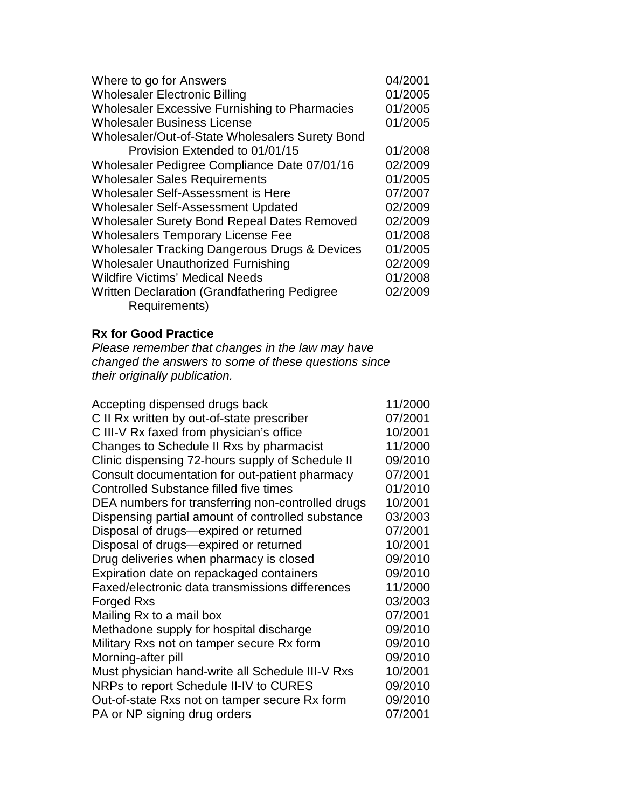| Where to go for Answers                                  | 04/2001 |
|----------------------------------------------------------|---------|
| <b>Wholesaler Electronic Billing</b>                     | 01/2005 |
| <b>Wholesaler Excessive Furnishing to Pharmacies</b>     | 01/2005 |
| <b>Wholesaler Business License</b>                       | 01/2005 |
| Wholesaler/Out-of-State Wholesalers Surety Bond          |         |
| Provision Extended to 01/01/15                           | 01/2008 |
| Wholesaler Pedigree Compliance Date 07/01/16             | 02/2009 |
| <b>Wholesaler Sales Requirements</b>                     | 01/2005 |
| Wholesaler Self-Assessment is Here                       | 07/2007 |
| <b>Wholesaler Self-Assessment Updated</b>                | 02/2009 |
| <b>Wholesaler Surety Bond Repeal Dates Removed</b>       | 02/2009 |
| <b>Wholesalers Temporary License Fee</b>                 | 01/2008 |
| <b>Wholesaler Tracking Dangerous Drugs &amp; Devices</b> | 01/2005 |
| <b>Wholesaler Unauthorized Furnishing</b>                | 02/2009 |
| <b>Wildfire Victims' Medical Needs</b>                   | 01/2008 |
| Written Declaration (Grandfathering Pedigree)            | 02/2009 |
| Requirements)                                            |         |

## **Rx for Good Practice**

*Please remember that changes in the law may have changed the answers to some of these questions since their originally publication.*

| C II Rx written by out-of-state prescriber<br>07/2001<br>C III-V Rx faxed from physician's office<br>10/2001<br>Changes to Schedule II Rxs by pharmacist<br>11/2000<br>Clinic dispensing 72-hours supply of Schedule II<br>09/2010<br>Consult documentation for out-patient pharmacy<br>07/2001<br><b>Controlled Substance filled five times</b><br>01/2010<br>DEA numbers for transferring non-controlled drugs<br>10/2001<br>Dispensing partial amount of controlled substance<br>03/2003 |
|---------------------------------------------------------------------------------------------------------------------------------------------------------------------------------------------------------------------------------------------------------------------------------------------------------------------------------------------------------------------------------------------------------------------------------------------------------------------------------------------|
|                                                                                                                                                                                                                                                                                                                                                                                                                                                                                             |
|                                                                                                                                                                                                                                                                                                                                                                                                                                                                                             |
|                                                                                                                                                                                                                                                                                                                                                                                                                                                                                             |
|                                                                                                                                                                                                                                                                                                                                                                                                                                                                                             |
|                                                                                                                                                                                                                                                                                                                                                                                                                                                                                             |
|                                                                                                                                                                                                                                                                                                                                                                                                                                                                                             |
|                                                                                                                                                                                                                                                                                                                                                                                                                                                                                             |
|                                                                                                                                                                                                                                                                                                                                                                                                                                                                                             |
| Disposal of drugs-expired or returned<br>07/2001                                                                                                                                                                                                                                                                                                                                                                                                                                            |
| Disposal of drugs-expired or returned<br>10/2001                                                                                                                                                                                                                                                                                                                                                                                                                                            |
| Drug deliveries when pharmacy is closed<br>09/2010                                                                                                                                                                                                                                                                                                                                                                                                                                          |
| Expiration date on repackaged containers<br>09/2010                                                                                                                                                                                                                                                                                                                                                                                                                                         |
| Faxed/electronic data transmissions differences<br>11/2000                                                                                                                                                                                                                                                                                                                                                                                                                                  |
| 03/2003<br><b>Forged Rxs</b>                                                                                                                                                                                                                                                                                                                                                                                                                                                                |
| 07/2001<br>Mailing Rx to a mail box                                                                                                                                                                                                                                                                                                                                                                                                                                                         |
| 09/2010<br>Methadone supply for hospital discharge                                                                                                                                                                                                                                                                                                                                                                                                                                          |
| 09/2010<br>Military Rxs not on tamper secure Rx form                                                                                                                                                                                                                                                                                                                                                                                                                                        |
| 09/2010<br>Morning-after pill                                                                                                                                                                                                                                                                                                                                                                                                                                                               |
| 10/2001<br>Must physician hand-write all Schedule III-V Rxs                                                                                                                                                                                                                                                                                                                                                                                                                                 |
| NRPs to report Schedule II-IV to CURES<br>09/2010                                                                                                                                                                                                                                                                                                                                                                                                                                           |
| Out-of-state Rxs not on tamper secure Rx form<br>09/2010                                                                                                                                                                                                                                                                                                                                                                                                                                    |
| PA or NP signing drug orders<br>07/2001                                                                                                                                                                                                                                                                                                                                                                                                                                                     |